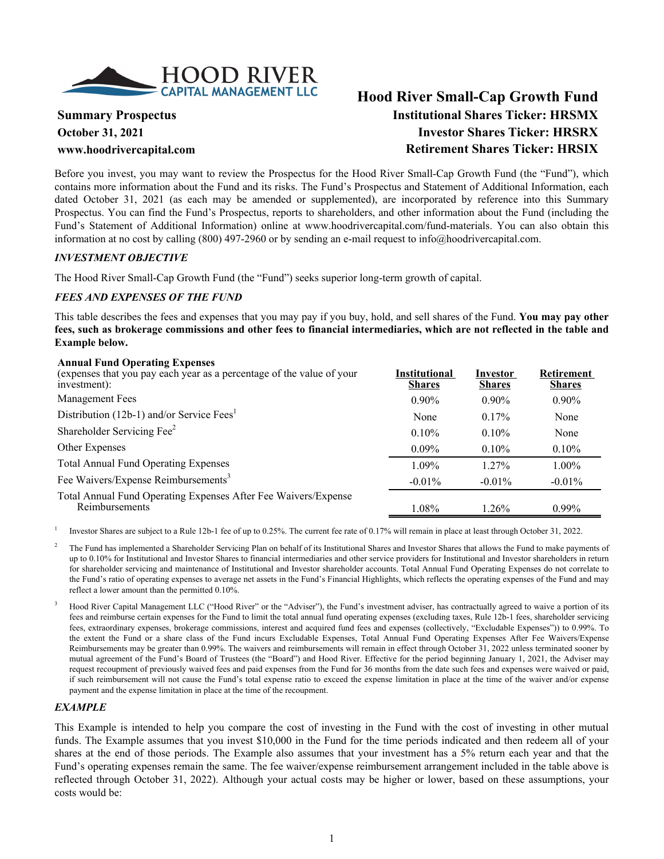

# **Hood River Small-Cap Growth Fund Summary Prospectus Institutional Shares Ticker: HRSMX October 31, 2021 Investor Shares Ticker: HRSRX www.hoodrivercapital.com Retirement Shares Ticker: HRSIX**

Before you invest, you may want to review the Prospectus for the Hood River Small-Cap Growth Fund (the "Fund"), which contains more information about the Fund and its risks. The Fund's Prospectus and Statement of Additional Information, each dated October 31, 2021 (as each may be amended or supplemented), are incorporated by reference into this Summary Prospectus. You can find the Fund's Prospectus, reports to shareholders, and other information about the Fund (including the Fund's Statement of Additional Information) online at www.hoodrivercapital.com/fund-materials. You can also obtain this information at no cost by calling (800) 497-2960 or by sending an e-mail request to info@hoodrivercapital.com.

#### *INVESTMENT OBJECTIVE*

The Hood River Small-Cap Growth Fund (the "Fund") seeks superior long-term growth of capital.

# *FEES AND EXPENSES OF THE FUND*

This table describes the fees and expenses that you may pay if you buy, hold, and sell shares of the Fund. **You may pay other fees, such as brokerage commissions and other fees to financial intermediaries, which are not reflected in the table and Example below.**

#### **Annual Fund Operating Expenses**

| Allhuai Fullu Operating Expenses<br>(expenses that you pay each year as a percentage of the value of your<br>investment): | Institutional<br><b>Shares</b> | Investor<br><b>Shares</b> | <b>Retirement</b><br><b>Shares</b> |
|---------------------------------------------------------------------------------------------------------------------------|--------------------------------|---------------------------|------------------------------------|
| Management Fees                                                                                                           | $0.90\%$                       | $0.90\%$                  | $0.90\%$                           |
| Distribution (12b-1) and/or Service Fees <sup>1</sup>                                                                     | None                           | 0.17%                     | None                               |
| Shareholder Servicing Fee <sup>2</sup>                                                                                    | $0.10\%$                       | $0.10\%$                  | None                               |
| Other Expenses                                                                                                            | $0.09\%$                       | 0.10%                     | $0.10\%$                           |
| <b>Total Annual Fund Operating Expenses</b>                                                                               | $1.09\%$                       | $1.27\%$                  | $1.00\%$                           |
| Fee Waivers/Expense Reimbursements <sup>3</sup>                                                                           | $-0.01\%$                      | $-0.01\%$                 | $-0.01\%$                          |
| Total Annual Fund Operating Expenses After Fee Waivers/Expense<br>Reimbursements                                          | 1.08%                          | $1.26\%$                  | $0.99\%$                           |

1 Investor Shares are subject to a Rule 12b-1 fee of up to 0.25%. The current fee rate of 0.17% will remain in place at least through October 31, 2022.

2 The Fund has implemented a Shareholder Servicing Plan on behalf of its Institutional Shares and Investor Shares that allows the Fund to make payments of up to 0.10% for Institutional and Investor Shares to financial intermediaries and other service providers for Institutional and Investor shareholders in return for shareholder servicing and maintenance of Institutional and Investor shareholder accounts. Total Annual Fund Operating Expenses do not correlate to the Fund's ratio of operating expenses to average net assets in the Fund's Financial Highlights, which reflects the operating expenses of the Fund and may reflect a lower amount than the permitted 0.10%.

3 Hood River Capital Management LLC ("Hood River" or the "Adviser"), the Fund's investment adviser, has contractually agreed to waive a portion of its fees and reimburse certain expenses for the Fund to limit the total annual fund operating expenses (excluding taxes, Rule 12b-1 fees, shareholder servicing fees, extraordinary expenses, brokerage commissions, interest and acquired fund fees and expenses (collectively, "Excludable Expenses")) to 0.99%. To the extent the Fund or a share class of the Fund incurs Excludable Expenses, Total Annual Fund Operating Expenses After Fee Waivers/Expense Reimbursements may be greater than 0.99%. The waivers and reimbursements will remain in effect through October 31, 2022 unless terminated sooner by mutual agreement of the Fund's Board of Trustees (the "Board") and Hood River. Effective for the period beginning January 1, 2021, the Adviser may request recoupment of previously waived fees and paid expenses from the Fund for 36 months from the date such fees and expenses were waived or paid, if such reimbursement will not cause the Fund's total expense ratio to exceed the expense limitation in place at the time of the waiver and/or expense payment and the expense limitation in place at the time of the recoupment.

# *EXAMPLE*

This Example is intended to help you compare the cost of investing in the Fund with the cost of investing in other mutual funds. The Example assumes that you invest \$10,000 in the Fund for the time periods indicated and then redeem all of your shares at the end of those periods. The Example also assumes that your investment has a 5% return each year and that the Fund's operating expenses remain the same. The fee waiver/expense reimbursement arrangement included in the table above is reflected through October 31, 2022). Although your actual costs may be higher or lower, based on these assumptions, your costs would be: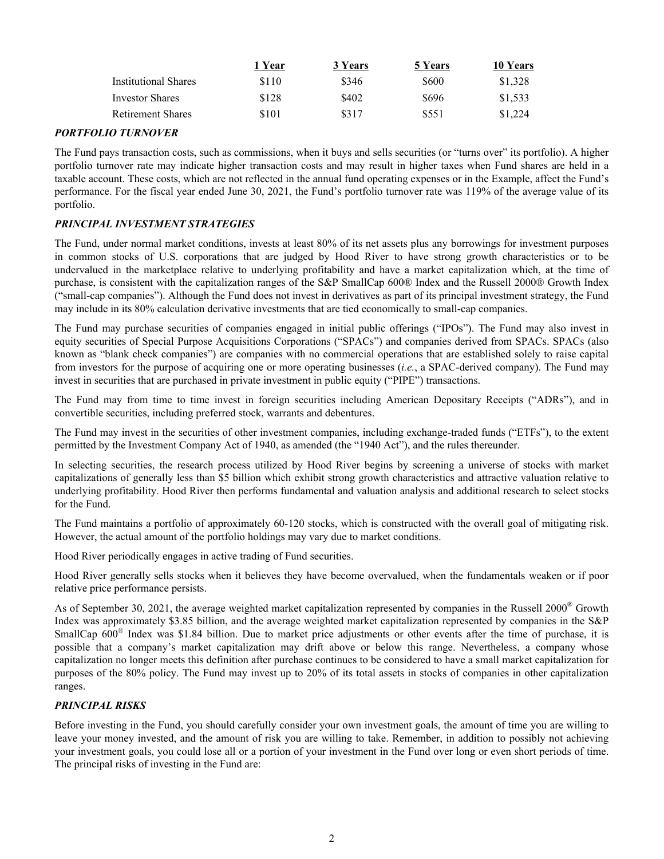|                             | 1 Year | 3 Years | 5 Years | 10 Years |
|-----------------------------|--------|---------|---------|----------|
| <b>Institutional Shares</b> | \$110  | \$346   | \$600   | \$1,328  |
| <b>Investor Shares</b>      | \$128  | \$402   | \$696   | \$1.533  |
| <b>Retirement Shares</b>    | \$101  | \$317   | \$551   | \$1,224  |

# *PORTFOLIO TURNOVER*

The Fund pays transaction costs, such as commissions, when it buys and sells securities (or "turns over" its portfolio). A higher portfolio turnover rate may indicate higher transaction costs and may result in higher taxes when Fund shares are held in a taxable account. These costs, which are not reflected in the annual fund operating expenses or in the Example, affect the Fund's performance. For the fiscal year ended June 30, 2021, the Fund's portfolio turnover rate was 119% of the average value of its portfolio.

# *PRINCIPAL INVESTMENT STRATEGIES*

The Fund, under normal market conditions, invests at least 80% of its net assets plus any borrowings for investment purposes in common stocks of U.S. corporations that are judged by Hood River to have strong growth characteristics or to be undervalued in the marketplace relative to underlying profitability and have a market capitalization which, at the time of purchase, is consistent with the capitalization ranges of the S&P SmallCap 600® Index and the Russell 2000® Growth Index ("small-cap companies"). Although the Fund does not invest in derivatives as part of its principal investment strategy, the Fund may include in its 80% calculation derivative investments that are tied economically to small-cap companies.

The Fund may purchase securities of companies engaged in initial public offerings ("IPOs"). The Fund may also invest in equity securities of Special Purpose Acquisitions Corporations ("SPACs") and companies derived from SPACs. SPACs (also known as "blank check companies") are companies with no commercial operations that are established solely to raise capital from investors for the purpose of acquiring one or more operating businesses (*i.e.*, a SPAC-derived company). The Fund may invest in securities that are purchased in private investment in public equity ("PIPE") transactions.

The Fund may from time to time invest in foreign securities including American Depositary Receipts ("ADRs"), and in convertible securities, including preferred stock, warrants and debentures.

The Fund may invest in the securities of other investment companies, including exchange-traded funds ("ETFs"), to the extent permitted by the Investment Company Act of 1940, as amended (the "1940 Act"), and the rules thereunder.

In selecting securities, the research process utilized by Hood River begins by screening a universe of stocks with market capitalizations of generally less than \$5 billion which exhibit strong growth characteristics and attractive valuation relative to underlying profitability. Hood River then performs fundamental and valuation analysis and additional research to select stocks for the Fund.

The Fund maintains a portfolio of approximately 60-120 stocks, which is constructed with the overall goal of mitigating risk. However, the actual amount of the portfolio holdings may vary due to market conditions.

Hood River periodically engages in active trading of Fund securities.

Hood River generally sells stocks when it believes they have become overvalued, when the fundamentals weaken or if poor relative price performance persists.

As of September 30, 2021, the average weighted market capitalization represented by companies in the Russell 2000<sup>®</sup> Growth Index was approximately \$3.85 billion, and the average weighted market capitalization represented by companies in the S&P SmallCap 600<sup>®</sup> Index was \$1.84 billion. Due to market price adjustments or other events after the time of purchase, it is possible that a company's market capitalization may drift above or below this range. Nevertheless, a company whose capitalization no longer meets this definition after purchase continues to be considered to have a small market capitalization for purposes of the 80% policy. The Fund may invest up to 20% of its total assets in stocks of companies in other capitalization ranges.

# *PRINCIPAL RISKS*

Before investing in the Fund, you should carefully consider your own investment goals, the amount of time you are willing to leave your money invested, and the amount of risk you are willing to take. Remember, in addition to possibly not achieving your investment goals, you could lose all or a portion of your investment in the Fund over long or even short periods of time. The principal risks of investing in the Fund are: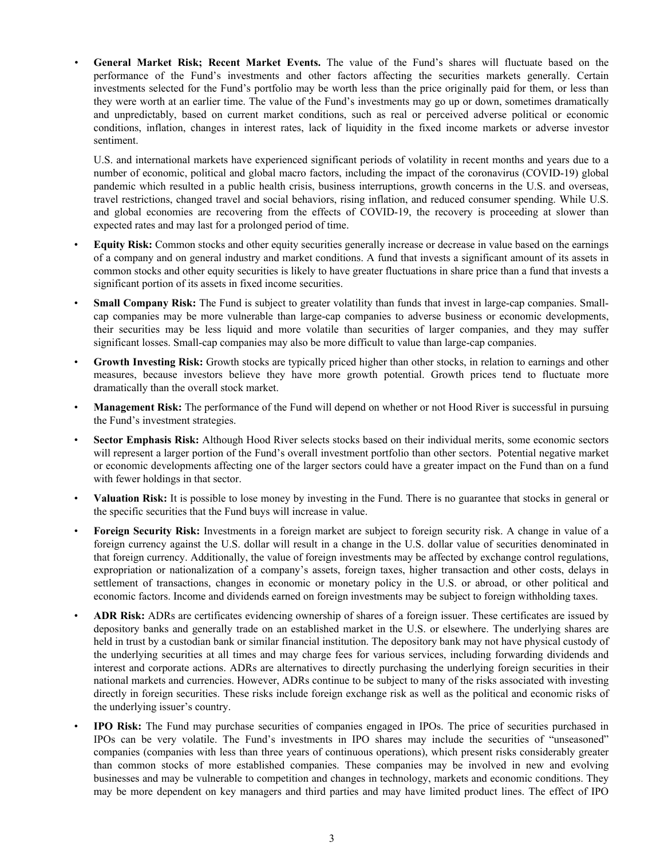*•* **General Market Risk; Recent Market Events.** The value of the Fund's shares will fluctuate based on the performance of the Fund's investments and other factors affecting the securities markets generally. Certain investments selected for the Fund's portfolio may be worth less than the price originally paid for them, or less than they were worth at an earlier time. The value of the Fund's investments may go up or down, sometimes dramatically and unpredictably, based on current market conditions, such as real or perceived adverse political or economic conditions, inflation, changes in interest rates, lack of liquidity in the fixed income markets or adverse investor sentiment.

U.S. and international markets have experienced significant periods of volatility in recent months and years due to a number of economic, political and global macro factors, including the impact of the coronavirus (COVID-19) global pandemic which resulted in a public health crisis, business interruptions, growth concerns in the U.S. and overseas, travel restrictions, changed travel and social behaviors, rising inflation, and reduced consumer spending. While U.S. and global economies are recovering from the effects of COVID-19, the recovery is proceeding at slower than expected rates and may last for a prolonged period of time.

- **Equity Risk:** Common stocks and other equity securities generally increase or decrease in value based on the earnings of a company and on general industry and market conditions. A fund that invests a significant amount of its assets in common stocks and other equity securities is likely to have greater fluctuations in share price than a fund that invests a significant portion of its assets in fixed income securities.
- **Small Company Risk:** The Fund is subject to greater volatility than funds that invest in large-cap companies. Smallcap companies may be more vulnerable than large-cap companies to adverse business or economic developments, their securities may be less liquid and more volatile than securities of larger companies, and they may suffer significant losses. Small-cap companies may also be more difficult to value than large-cap companies.
- Growth Investing Risk: Growth stocks are typically priced higher than other stocks, in relation to earnings and other measures, because investors believe they have more growth potential. Growth prices tend to fluctuate more dramatically than the overall stock market.
- **Management Risk:** The performance of the Fund will depend on whether or not Hood River is successful in pursuing the Fund's investment strategies.
- **Sector Emphasis Risk:** Although Hood River selects stocks based on their individual merits, some economic sectors will represent a larger portion of the Fund's overall investment portfolio than other sectors. Potential negative market or economic developments affecting one of the larger sectors could have a greater impact on the Fund than on a fund with fewer holdings in that sector.
- **Valuation Risk:** It is possible to lose money by investing in the Fund. There is no guarantee that stocks in general or the specific securities that the Fund buys will increase in value.
- **Foreign Security Risk:** Investments in a foreign market are subject to foreign security risk. A change in value of a foreign currency against the U.S. dollar will result in a change in the U.S. dollar value of securities denominated in that foreign currency. Additionally, the value of foreign investments may be affected by exchange control regulations, expropriation or nationalization of a company's assets, foreign taxes, higher transaction and other costs, delays in settlement of transactions, changes in economic or monetary policy in the U.S. or abroad, or other political and economic factors. Income and dividends earned on foreign investments may be subject to foreign withholding taxes.
- **ADR Risk:** ADRs are certificates evidencing ownership of shares of a foreign issuer. These certificates are issued by depository banks and generally trade on an established market in the U.S. or elsewhere. The underlying shares are held in trust by a custodian bank or similar financial institution. The depository bank may not have physical custody of the underlying securities at all times and may charge fees for various services, including forwarding dividends and interest and corporate actions. ADRs are alternatives to directly purchasing the underlying foreign securities in their national markets and currencies. However, ADRs continue to be subject to many of the risks associated with investing directly in foreign securities. These risks include foreign exchange risk as well as the political and economic risks of the underlying issuer's country.
- **IPO Risk:** The Fund may purchase securities of companies engaged in IPOs. The price of securities purchased in IPOs can be very volatile. The Fund's investments in IPO shares may include the securities of "unseasoned" companies (companies with less than three years of continuous operations), which present risks considerably greater than common stocks of more established companies. These companies may be involved in new and evolving businesses and may be vulnerable to competition and changes in technology, markets and economic conditions. They may be more dependent on key managers and third parties and may have limited product lines. The effect of IPO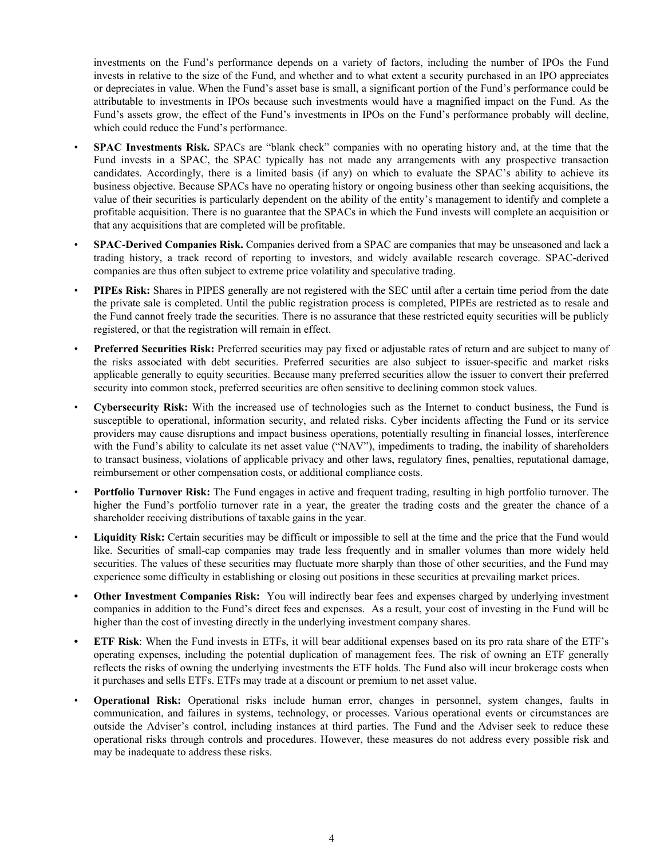investments on the Fund's performance depends on a variety of factors, including the number of IPOs the Fund invests in relative to the size of the Fund, and whether and to what extent a security purchased in an IPO appreciates or depreciates in value. When the Fund's asset base is small, a significant portion of the Fund's performance could be attributable to investments in IPOs because such investments would have a magnified impact on the Fund. As the Fund's assets grow, the effect of the Fund's investments in IPOs on the Fund's performance probably will decline, which could reduce the Fund's performance.

- **SPAC Investments Risk.** SPACs are "blank check" companies with no operating history and, at the time that the Fund invests in a SPAC, the SPAC typically has not made any arrangements with any prospective transaction candidates. Accordingly, there is a limited basis (if any) on which to evaluate the SPAC's ability to achieve its business objective. Because SPACs have no operating history or ongoing business other than seeking acquisitions, the value of their securities is particularly dependent on the ability of the entity's management to identify and complete a profitable acquisition. There is no guarantee that the SPACs in which the Fund invests will complete an acquisition or that any acquisitions that are completed will be profitable.
- **SPAC-Derived Companies Risk.** Companies derived from a SPAC are companies that may be unseasoned and lack a trading history, a track record of reporting to investors, and widely available research coverage. SPAC-derived companies are thus often subject to extreme price volatility and speculative trading.
- **PIPEs Risk:** Shares in PIPES generally are not registered with the SEC until after a certain time period from the date the private sale is completed. Until the public registration process is completed, PIPEs are restricted as to resale and the Fund cannot freely trade the securities. There is no assurance that these restricted equity securities will be publicly registered, or that the registration will remain in effect.
- **Preferred Securities Risk:** Preferred securities may pay fixed or adjustable rates of return and are subject to many of the risks associated with debt securities. Preferred securities are also subject to issuer-specific and market risks applicable generally to equity securities. Because many preferred securities allow the issuer to convert their preferred security into common stock, preferred securities are often sensitive to declining common stock values.
- **Cybersecurity Risk:** With the increased use of technologies such as the Internet to conduct business, the Fund is susceptible to operational, information security, and related risks. Cyber incidents affecting the Fund or its service providers may cause disruptions and impact business operations, potentially resulting in financial losses, interference with the Fund's ability to calculate its net asset value ("NAV"), impediments to trading, the inability of shareholders to transact business, violations of applicable privacy and other laws, regulatory fines, penalties, reputational damage, reimbursement or other compensation costs, or additional compliance costs.
- **Portfolio Turnover Risk:** The Fund engages in active and frequent trading, resulting in high portfolio turnover. The higher the Fund's portfolio turnover rate in a year, the greater the trading costs and the greater the chance of a shareholder receiving distributions of taxable gains in the year.
- Liquidity Risk: Certain securities may be difficult or impossible to sell at the time and the price that the Fund would like. Securities of small-cap companies may trade less frequently and in smaller volumes than more widely held securities. The values of these securities may fluctuate more sharply than those of other securities, and the Fund may experience some difficulty in establishing or closing out positions in these securities at prevailing market prices.
- **• Other Investment Companies Risk:** You will indirectly bear fees and expenses charged by underlying investment companies in addition to the Fund's direct fees and expenses. As a result, your cost of investing in the Fund will be higher than the cost of investing directly in the underlying investment company shares.
- **• ETF Risk**: When the Fund invests in ETFs, it will bear additional expenses based on its pro rata share of the ETF's operating expenses, including the potential duplication of management fees. The risk of owning an ETF generally reflects the risks of owning the underlying investments the ETF holds. The Fund also will incur brokerage costs when it purchases and sells ETFs. ETFs may trade at a discount or premium to net asset value.
- **Operational Risk:** Operational risks include human error, changes in personnel, system changes, faults in communication, and failures in systems, technology, or processes. Various operational events or circumstances are outside the Adviser's control, including instances at third parties. The Fund and the Adviser seek to reduce these operational risks through controls and procedures. However, these measures do not address every possible risk and may be inadequate to address these risks.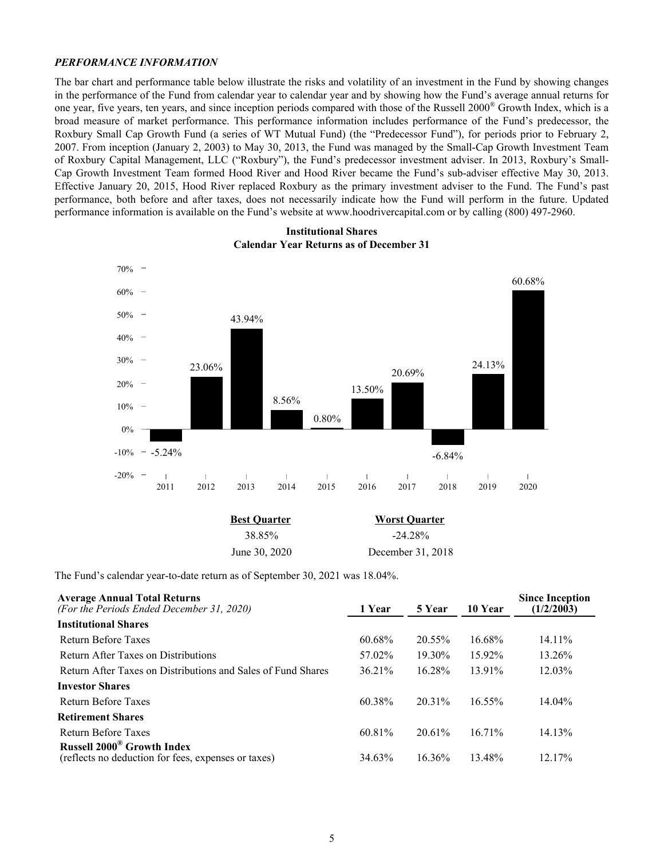#### *PERFORMANCE INFORMATION*

The bar chart and performance table below illustrate the risks and volatility of an investment in the Fund by showing changes in the performance of the Fund from calendar year to calendar year and by showing how the Fund's average annual returns for one year, five years, ten years, and since inception periods compared with those of the Russell 2000® Growth Index, which is a broad measure of market performance. This performance information includes performance of the Fund's predecessor, the Roxbury Small Cap Growth Fund (a series of WT Mutual Fund) (the "Predecessor Fund"), for periods prior to February 2, 2007. From inception (January 2, 2003) to May 30, 2013, the Fund was managed by the Small-Cap Growth Investment Team of Roxbury Capital Management, LLC ("Roxbury"), the Fund's predecessor investment adviser. In 2013, Roxbury's Small-Cap Growth Investment Team formed Hood River and Hood River became the Fund's sub-adviser effective May 30, 2013. Effective January 20, 2015, Hood River replaced Roxbury as the primary investment adviser to the Fund. The Fund's past performance, both before and after taxes, does not necessarily indicate how the Fund will perform in the future. Updated performance information is available on the Fund's website at www.hoodrivercapital.com or by calling (800) 497-2960.



### **Institutional Shares Calendar Year Returns as of December 31**

| <b>Best Ouarter</b> | <b>Worst Quarter</b> |
|---------------------|----------------------|
| 38.85%              | $-24.28\%$           |
| June 30, 2020       | December 31, 2018    |

The Fund's calendar year-to-date return as of September 30, 2021 was 18.04%.

| <b>Average Annual Total Returns</b><br>(For the Periods Ended December 31, 2020)                    | 1 Year | 5 Year    | 10 Year   | <b>Since Inception</b><br>(1/2/2003) |
|-----------------------------------------------------------------------------------------------------|--------|-----------|-----------|--------------------------------------|
| <b>Institutional Shares</b>                                                                         |        |           |           |                                      |
| Return Before Taxes                                                                                 | 60.68% | 20.55%    | 16.68%    | 14.11%                               |
| Return After Taxes on Distributions                                                                 | 57.02% | $19.30\%$ | 15.92%    | 13.26%                               |
| Return After Taxes on Distributions and Sales of Fund Shares                                        | 36.21% | 16.28%    | 13.91%    | 12.03%                               |
| <b>Investor Shares</b>                                                                              |        |           |           |                                      |
| Return Before Taxes                                                                                 | 60.38% | 20 31%    | $16.55\%$ | $14.04\%$                            |
| <b>Retirement Shares</b>                                                                            |        |           |           |                                      |
| Return Before Taxes                                                                                 | 60.81% | $20.61\%$ | $16.71\%$ | 14.13%                               |
| <b>Russell 2000<sup>®</sup> Growth Index</b><br>(reflects no deduction for fees, expenses or taxes) | 34.63% | $16.36\%$ | 13.48%    | 12.17%                               |